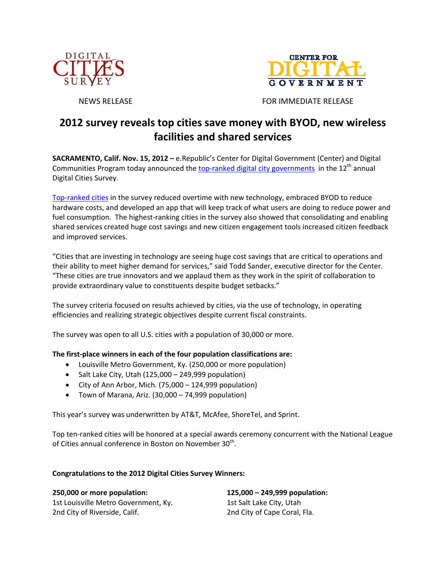



NEWS RELEASE FOR IMMEDIATE RELEASE

# **2012 survey reveals top cities save money with BYOD, new wireless facilities and shared services**

**SACRAMENTO, Calif. Nov. 15, 2012 –** e.Republic's Center for Digital Government (Center) and Digital Communities Program today announced the top-ranked digital city governments in the 12<sup>th</sup> annual Digital Cities Survey.

Top‐ranked cities in the survey reduced overtime with new technology, embraced BYOD to reduce hardware costs, and developed an app that will keep track of what users are doing to reduce power and fuel consumption. The highest-ranking cities in the survey also showed that consolidating and enabling shared services created huge cost savings and new citizen engagement tools increased citizen feedback and improved services.

"Cities that are investing in technology are seeing huge cost savings that are critical to operations and their ability to meet higher demand for services," said Todd Sander, executive director for the Center. "These cities are true innovators and we applaud them as they work in the spirit of collaboration to provide extraordinary value to constituents despite budget setbacks."

The survey criteria focused on results achieved by cities, via the use of technology, in operating efficiencies and realizing strategic objectives despite current fiscal constraints.

The survey was open to all U.S. cities with a population of 30,000 or more.

# **The first‐place winners in each of the four population classifications are:**

- Louisville Metro Government, Ky. (250,000 or more population)
- $\bullet$  Salt Lake City, Utah (125,000 249,999 population)
- $\bullet$  City of Ann Arbor, Mich. (75,000 124,999 population)
- Town of Marana, Ariz. (30,000 74,999 population)

This year's survey was underwritten by AT&T, McAfee, ShoreTel, and Sprint.

Top ten‐ranked cities will be honored at a special awards ceremony concurrent with the National League of Cities annual conference in Boston on November 30<sup>th</sup>.

# **Congratulations to the 2012 Digital Cities Survey Winners:**

**250,000 or more population:** 1st Louisville Metro Government, Ky. 2nd City of Riverside, Calif.

**125,000 – 249,999 population:** 1st Salt Lake City, Utah 2nd City of Cape Coral, Fla.